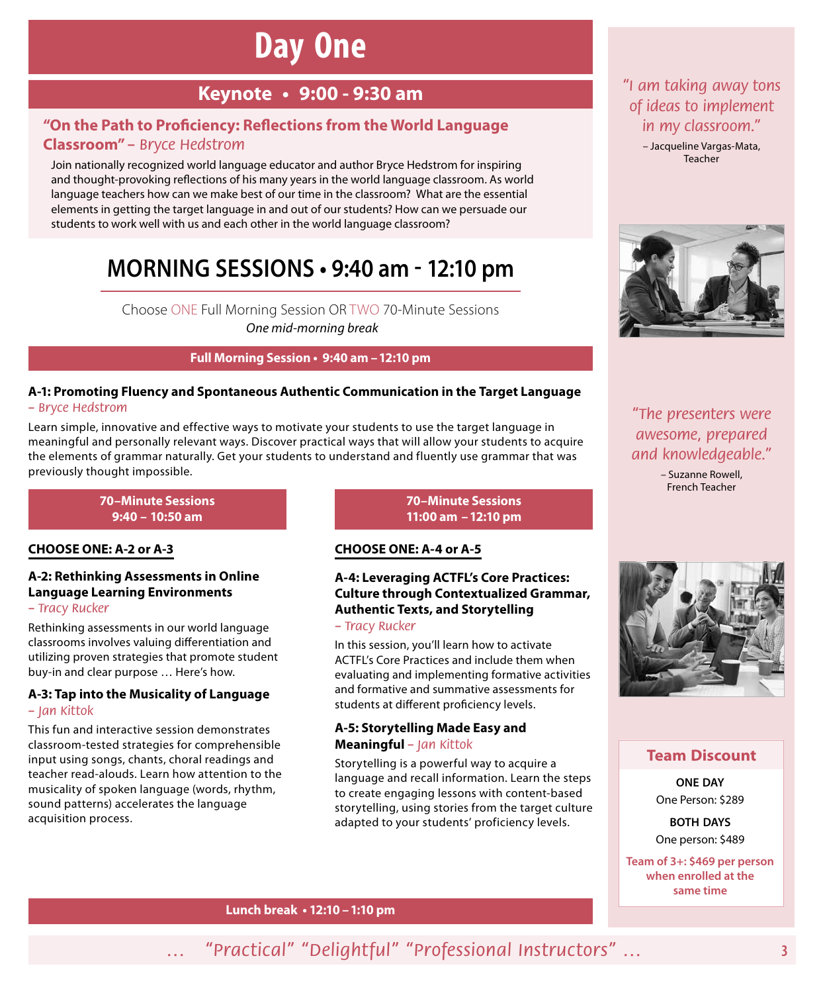# **Day One**

### **Keynote • 9:00 ‑ 9:30 am**

### **"On the Path to Proficiency: Reflections from the World Language Classroom"** *– Bryce Hedstrom*

Join nationally recognized world language educator and author Bryce Hedstrom for inspiring and thought-provoking reflections of his many years in the world language classroom. As world language teachers how can we make best of our time in the classroom? What are the essential elements in getting the target language in and out of our students? How can we persuade our students to work well with us and each other in the world language classroom?

## **MORNING SESSIONS • 9:40 am - 12:10 pm**

Choose ONE Full Morning Session OR TWO 70-Minute Sessions *One mid-morning break*

### **Full Morning Session • 9:40 am –12:10 pm**

### **A‑1: Promoting Fluency and Spontaneous Authentic Communication in the Target Language**  *– Bryce Hedstrom*

Learn simple, innovative and effective ways to motivate your students to use the target language in meaningful and personally relevant ways. Discover practical ways that will allow your students to acquire the elements of grammar naturally. Get your students to understand and fluently use grammar that was previously thought impossible.

### **70–Minute Sessions 9:40 – 10:50 am**

### **CHOOSE ONE: A‑2 or A‑3**

### **A‑2: Rethinking Assessments in Online Language Learning Environments**

### *– Tracy Rucker*

Rethinking assessments in our world language classrooms involves valuing differentiation and utilizing proven strategies that promote student buy-in and clear purpose … Here's how.

### **A‑3: Tap into the Musicality of Language**  *– Jan Kittok*

This fun and interactive session demonstrates classroom-tested strategies for comprehensible input using songs, chants, choral readings and teacher read-alouds. Learn how attention to the musicality of spoken language (words, rhythm, sound patterns) accelerates the language acquisition process.

**70–Minute Sessions 11:00 am –12:10 pm**

### **CHOOSE ONE: A‑4 or A‑5**

### **A‑4: Leveraging ACTFL's Core Practices: Culture through Contextualized Grammar, Authentic Texts, and Storytelling**

### *– Tracy Rucker*

In this session, you'll learn how to activate ACTFL's Core Practices and include them when evaluating and implementing formative activities and formative and summative assessments for students at different proficiency levels.

### **A‑5: Storytelling Made Easy and Meaningful** *– Jan Kittok*

Storytelling is a powerful way to acquire a language and recall information. Learn the steps to create engaging lessons with content-based storytelling, using stories from the target culture adapted to your students' proficiency levels.

### *"I am taking away tons of ideas to implement in my classroom."*

– Jacqueline Vargas-Mata, Teacher



*"The presenters were awesome, prepared and knowledgeable."*

> – Suzanne Rowell, French Teacher



### **Team Discount**

**ONE DAY** One Person: \$289

**BOTH DAYS** One person: \$489

**Team of 3+: \$469 per person when enrolled at the same time**

### **Lunch break • 12:10 –1:10 pm**

*… "Practical" "Delightful" "Professional Instructors" …*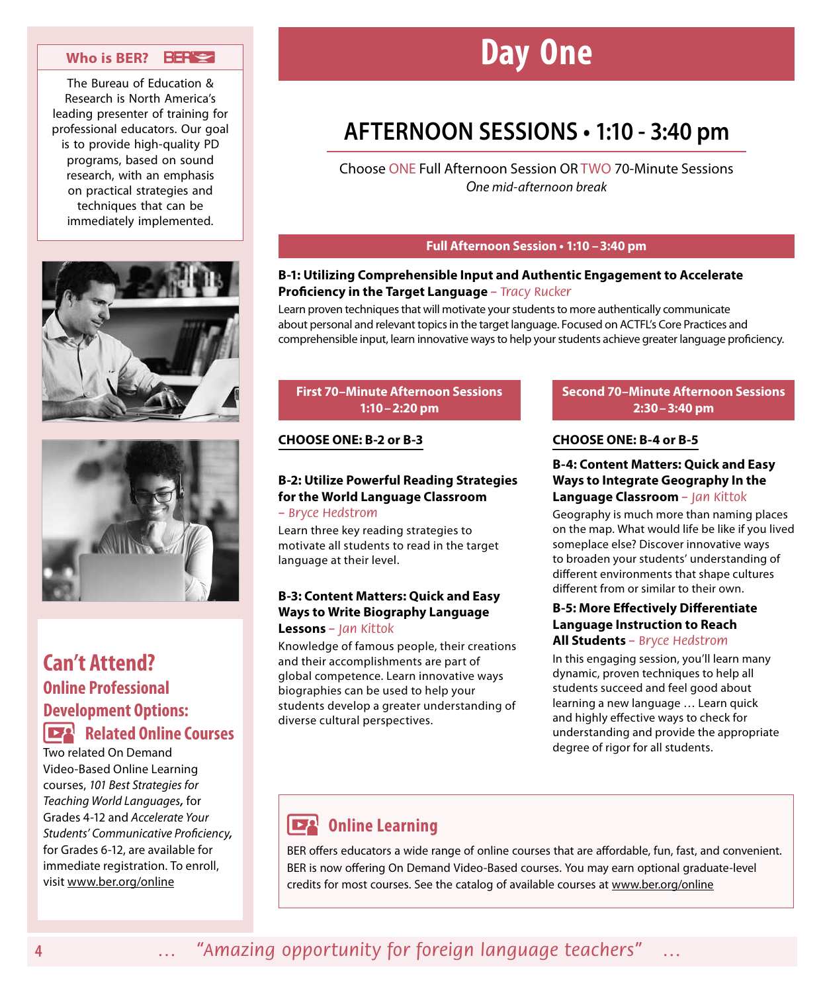### **Who is BER?**

The Bureau of Education & Research is North America's leading presenter of training for professional educators. Our goal is to provide high-quality PD programs, based on sound research, with an emphasis on practical strategies and techniques that can be immediately implemented.





### **Can't Attend? Online Professional Development Options: Related Online Courses**

Two related On Demand Video-Based Online Learning courses, *101 Best Strategies for Teaching World Languages,* for Grades 4-12 and *Accelerate Your Students' Communicative Proficiency,* for Grades 6-12, are available for immediate registration. To enroll, visit www.ber.org/online

# **Day One**

## **AFTERNOON SESSIONS • 1:10 - 3:40 pm**

Choose ONE Full Afternoon Session OR TWO 70-Minute Sessions *One mid-afternoon break*

### **Full Afternoon Session • 1:10 –3:40 pm**

### **B‑1: Utilizing Comprehensible Input and Authentic Engagement to Accelerate Proficiency in the Target Language** *– Tracy Rucker*

Learn proven techniques that will motivate your students to more authentically communicate about personal and relevant topics in the target language. Focused on ACTFL's Core Practices and comprehensible input, learn innovative ways to help your students achieve greater language proficiency.

### **First 70–Minute Afternoon Sessions 1:10–2:20 pm**

### **CHOOSE ONE: B‑2 or B‑3**

### **B‑2: Utilize Powerful Reading Strategies for the World Language Classroom**

*– Bryce Hedstrom*

Learn three key reading strategies to motivate all students to read in the target language at their level.

### **B‑3: Content Matters: Quick and Easy Ways to Write Biography Language Lessons** *– Jan Kittok*

Knowledge of famous people, their creations and their accomplishments are part of global competence. Learn innovative ways biographies can be used to help your students develop a greater understanding of diverse cultural perspectives.

### **Second 70–Minute Afternoon Sessions 2:30–3:40 pm**

### **CHOOSE ONE: B‑4 or B‑5**

### **B‑4: Content Matters: Quick and Easy Ways to Integrate Geography In the Language Classroom** *– Jan Kittok*

Geography is much more than naming places on the map. What would life be like if you lived someplace else? Discover innovative ways to broaden your students' understanding of different environments that shape cultures different from or similar to their own.

### **B‑5: More Effectively Differentiate Language Instruction to Reach All Students** *– Bryce Hedstrom*

In this engaging session, you'll learn many dynamic, proven techniques to help all students succeed and feel good about learning a new language … Learn quick and highly effective ways to check for understanding and provide the appropriate degree of rigor for all students.

#### EA **Online Learning**

BER offers educators a wide range of online courses that are affordable, fun, fast, and convenient. BER is now offering On Demand Video-Based courses. You may earn optional graduate-level credits for most courses. See the catalog of available courses at www.ber.org/online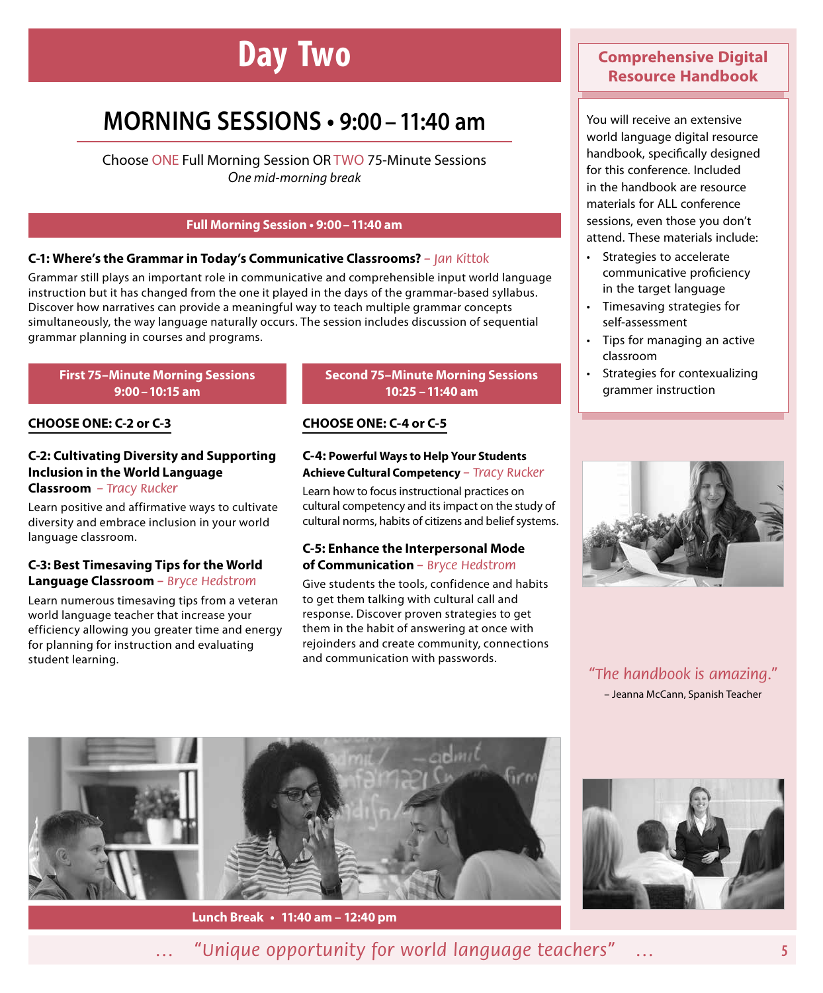# **Day Two**

# **MORNING SESSIONS • 9:00–11:40 am**

Choose ONE Full Morning Session OR TWO 75-Minute Sessions *One mid-morning break*

### **Full Morning Session • 9:00–11:40 am**

### **C‑1: Where's the Grammar in Today's Communicative Classrooms?** *– Jan Kittok*

Grammar still plays an important role in communicative and comprehensible input world language instruction but it has changed from the one it played in the days of the grammar-based syllabus. Discover how narratives can provide a meaningful way to teach multiple grammar concepts simultaneously, the way language naturally occurs. The session includes discussion of sequential grammar planning in courses and programs.

### **First 75–Minute Morning Sessions 9:00–10:15 am**

### **CHOOSE ONE: C‑2 or C‑3**

### **C‑2: Cultivating Diversity and Supporting Inclusion in the World Language Classroom** *– Tracy Rucker*

Learn positive and affirmative ways to cultivate diversity and embrace inclusion in your world language classroom.

### **C‑3: Best Timesaving Tips for the World Language Classroom** *– Bryce Hedstrom*

Learn numerous timesaving tips from a veteran world language teacher that increase your efficiency allowing you greater time and energy for planning for instruction and evaluating student learning.

### **Second 75–Minute Morning Sessions 10:25 –11:40 am**

### **CHOOSE ONE: C‑4 or C‑5**

#### **C‑4: Powerful Ways to Help Your Students Achieve Cultural Competency** *– Tracy Rucker*

Learn how to focus instructional practices on cultural competency and its impact on the study of cultural norms, habits of citizens and belief systems.

### **C‑5: Enhance the Interpersonal Mode of Communication** *– Bryce Hedstrom*

Give students the tools, confidence and habits to get them talking with cultural call and response. Discover proven strategies to get them in the habit of answering at once with rejoinders and create community, connections and communication with passwords.

### **Comprehensive Digital Resource Handbook**

You will receive an extensive world language digital resource handbook, specifically designed for this conference. Included in the handbook are resource materials for ALL conference sessions, even those you don't attend. These materials include:

- Strategies to accelerate communicative proficiency in the target language
- Timesaving strategies for self-assessment
- Tips for managing an active classroom
- Strategies for contexualizing grammer instruction



*"The handbook is amazing."* – Jeanna McCann, Spanish Teacher







*… "Unique opportunity for world language teachers" …*